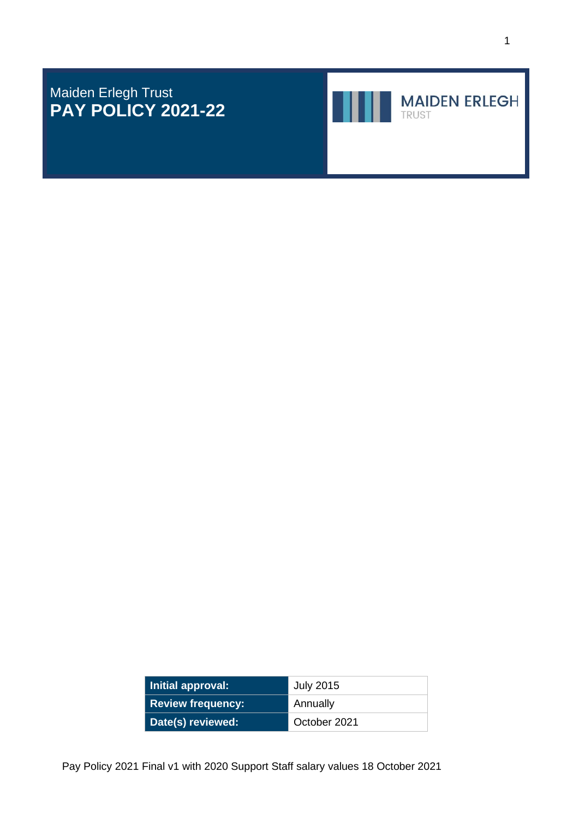Maiden Erlegh Trust **PAY POLICY 2021-22**



**MAIDEN ERLEGH** 

| Initial approval:        | <b>July 2015</b> |  |
|--------------------------|------------------|--|
| <b>Review frequency:</b> | Annually         |  |
| Date(s) reviewed:        | October 2021     |  |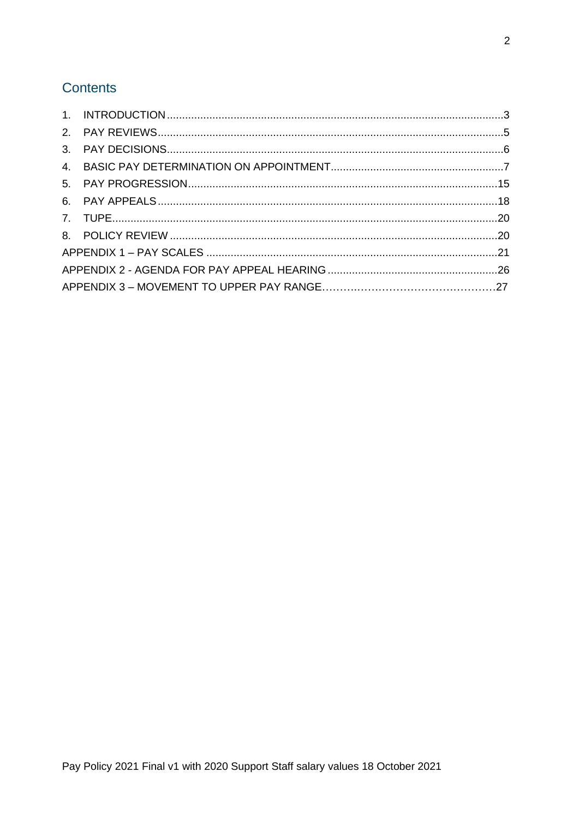# Contents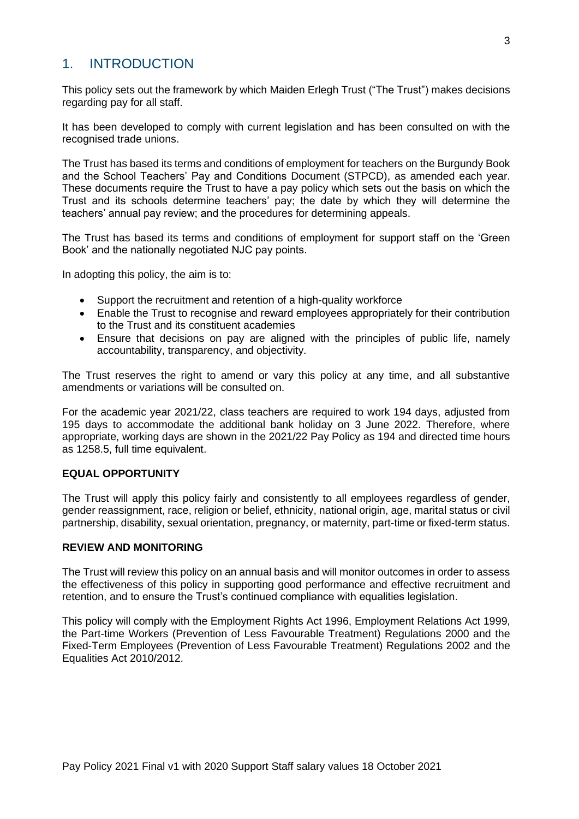# <span id="page-2-0"></span>1. INTRODUCTION

This policy sets out the framework by which Maiden Erlegh Trust ("The Trust") makes decisions regarding pay for all staff.

It has been developed to comply with current legislation and has been consulted on with the recognised trade unions.

The Trust has based its terms and conditions of employment for teachers on the Burgundy Book and the School Teachers' Pay and Conditions Document (STPCD), as amended each year. These documents require the Trust to have a pay policy which sets out the basis on which the Trust and its schools determine teachers' pay; the date by which they will determine the teachers' annual pay review; and the procedures for determining appeals.

The Trust has based its terms and conditions of employment for support staff on the 'Green Book' and the nationally negotiated NJC pay points.

In adopting this policy, the aim is to:

- Support the recruitment and retention of a high-quality workforce
- Enable the Trust to recognise and reward employees appropriately for their contribution to the Trust and its constituent academies
- Ensure that decisions on pay are aligned with the principles of public life, namely accountability, transparency, and objectivity.

The Trust reserves the right to amend or vary this policy at any time, and all substantive amendments or variations will be consulted on.

For the academic year 2021/22, class teachers are required to work 194 days, adjusted from 195 days to accommodate the additional bank holiday on 3 June 2022. Therefore, where appropriate, working days are shown in the 2021/22 Pay Policy as 194 and directed time hours as 1258.5, full time equivalent.

#### **EQUAL OPPORTUNITY**

The Trust will apply this policy fairly and consistently to all employees regardless of gender, gender reassignment, race, religion or belief, ethnicity, national origin, age, marital status or civil partnership, disability, sexual orientation, pregnancy, or maternity, part-time or fixed-term status.

#### **REVIEW AND MONITORING**

The Trust will review this policy on an annual basis and will monitor outcomes in order to assess the effectiveness of this policy in supporting good performance and effective recruitment and retention, and to ensure the Trust's continued compliance with equalities legislation.

This policy will comply with the Employment Rights Act 1996, Employment Relations Act 1999, the Part-time Workers (Prevention of Less Favourable Treatment) Regulations 2000 and the Fixed-Term Employees (Prevention of Less Favourable Treatment) Regulations 2002 and the Equalities Act 2010/2012.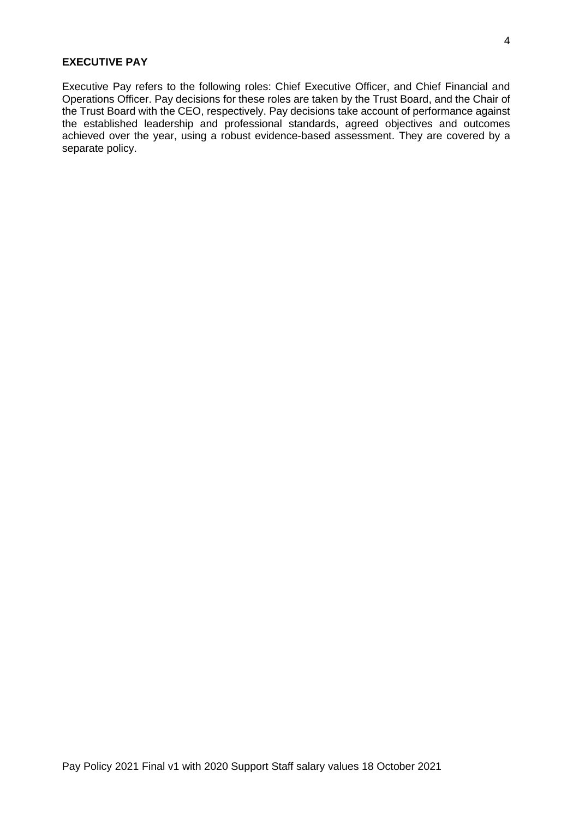#### **EXECUTIVE PAY**

Executive Pay refers to the following roles: Chief Executive Officer, and Chief Financial and Operations Officer. Pay decisions for these roles are taken by the Trust Board, and the Chair of the Trust Board with the CEO, respectively. Pay decisions take account of performance against the established leadership and professional standards, agreed objectives and outcomes achieved over the year, using a robust evidence-based assessment. They are covered by a separate policy.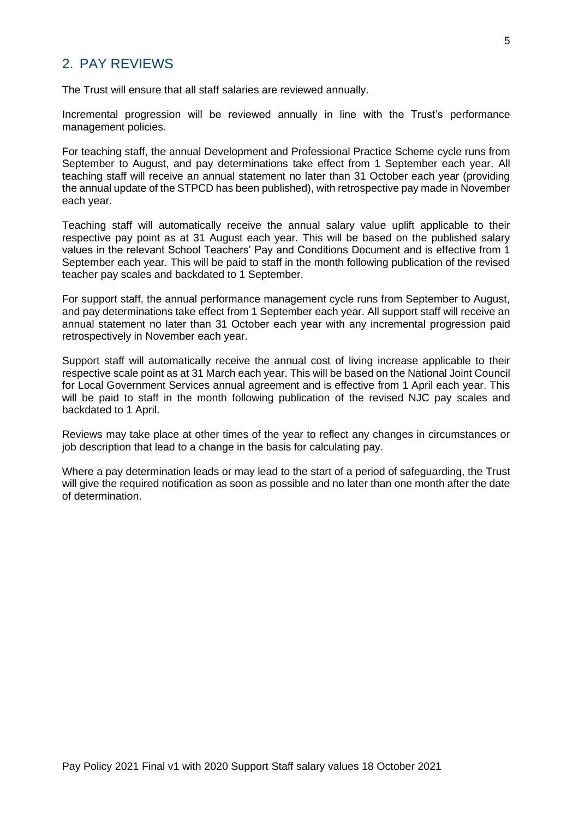# <span id="page-4-0"></span>2. PAY REVIEWS

The Trust will ensure that all staff salaries are reviewed annually.

Incremental progression will be reviewed annually in line with the Trust's performance management policies.

For teaching staff, the annual Development and Professional Practice Scheme cycle runs from September to August, and pay determinations take effect from 1 September each year. All teaching staff will receive an annual statement no later than 31 October each year (providing the annual update of the STPCD has been published), with retrospective pay made in November each year.

Teaching staff will automatically receive the annual salary value uplift applicable to their respective pay point as at 31 August each year. This will be based on the published salary values in the relevant School Teachers' Pay and Conditions Document and is effective from 1 September each year. This will be paid to staff in the month following publication of the revised teacher pay scales and backdated to 1 September.

For support staff, the annual performance management cycle runs from September to August, and pay determinations take effect from 1 September each year. All support staff will receive an annual statement no later than 31 October each year with any incremental progression paid retrospectively in November each year.

Support staff will automatically receive the annual cost of living increase applicable to their respective scale point as at 31 March each year. This will be based on the National Joint Council for Local Government Services annual agreement and is effective from 1 April each year. This will be paid to staff in the month following publication of the revised NJC pay scales and backdated to 1 April.

Reviews may take place at other times of the year to reflect any changes in circumstances or job description that lead to a change in the basis for calculating pay.

Where a pay determination leads or may lead to the start of a period of safeguarding, the Trust will give the required notification as soon as possible and no later than one month after the date of determination.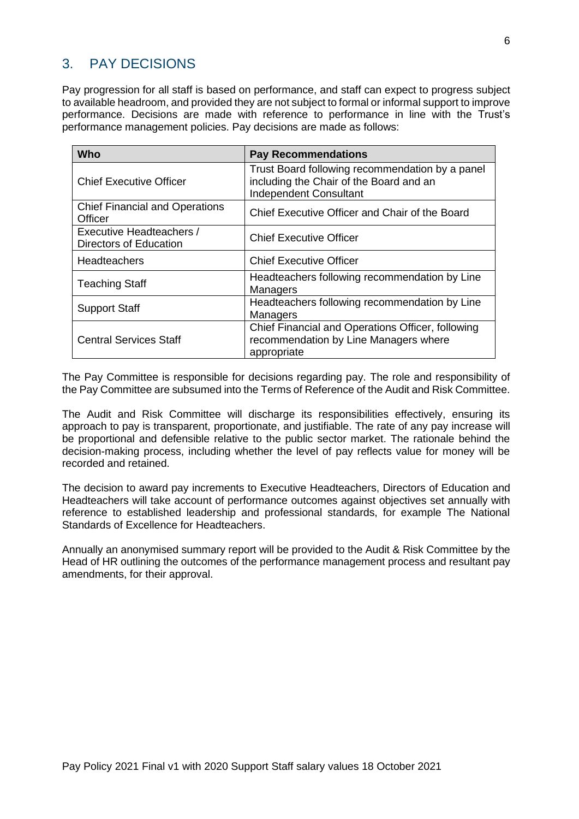# <span id="page-5-0"></span>3. PAY DECISIONS

Pay progression for all staff is based on performance, and staff can expect to progress subject to available headroom, and provided they are not subject to formal or informal support to improve performance. Decisions are made with reference to performance in line with the Trust's performance management policies. Pay decisions are made as follows:

| <b>Who</b>                                                | <b>Pay Recommendations</b>                                                                                                  |
|-----------------------------------------------------------|-----------------------------------------------------------------------------------------------------------------------------|
| <b>Chief Executive Officer</b>                            | Trust Board following recommendation by a panel<br>including the Chair of the Board and an<br><b>Independent Consultant</b> |
| <b>Chief Financial and Operations</b><br>Officer          | Chief Executive Officer and Chair of the Board                                                                              |
| Executive Headteachers /<br><b>Directors of Education</b> | <b>Chief Executive Officer</b>                                                                                              |
| <b>Headteachers</b>                                       | <b>Chief Executive Officer</b>                                                                                              |
| <b>Teaching Staff</b>                                     | Headteachers following recommendation by Line<br><b>Managers</b>                                                            |
| <b>Support Staff</b>                                      | Headteachers following recommendation by Line<br>Managers                                                                   |
| <b>Central Services Staff</b>                             | Chief Financial and Operations Officer, following<br>recommendation by Line Managers where<br>appropriate                   |

The Pay Committee is responsible for decisions regarding pay. The role and responsibility of the Pay Committee are subsumed into the Terms of Reference of the Audit and Risk Committee.

The Audit and Risk Committee will discharge its responsibilities effectively, ensuring its approach to pay is transparent, proportionate, and justifiable. The rate of any pay increase will be proportional and defensible relative to the public sector market. The rationale behind the decision-making process, including whether the level of pay reflects value for money will be recorded and retained.

The decision to award pay increments to Executive Headteachers, Directors of Education and Headteachers will take account of performance outcomes against objectives set annually with reference to established leadership and professional standards, for example The National Standards of Excellence for Headteachers.

Annually an anonymised summary report will be provided to the Audit & Risk Committee by the Head of HR outlining the outcomes of the performance management process and resultant pay amendments, for their approval.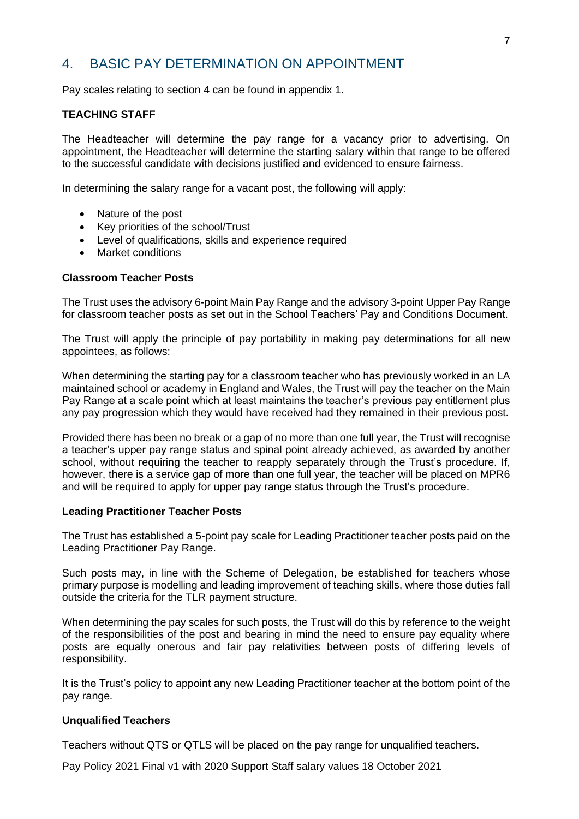# <span id="page-6-0"></span>4. BASIC PAY DETERMINATION ON APPOINTMENT

Pay scales relating to section 4 can be found in appendix 1.

# **TEACHING STAFF**

The Headteacher will determine the pay range for a vacancy prior to advertising. On appointment, the Headteacher will determine the starting salary within that range to be offered to the successful candidate with decisions justified and evidenced to ensure fairness.

In determining the salary range for a vacant post, the following will apply:

- Nature of the post
- Key priorities of the school/Trust
- Level of qualifications, skills and experience required
- Market conditions

#### **Classroom Teacher Posts**

The Trust uses the advisory 6-point Main Pay Range and the advisory 3-point Upper Pay Range for classroom teacher posts as set out in the School Teachers' Pay and Conditions Document.

The Trust will apply the principle of pay portability in making pay determinations for all new appointees, as follows:

When determining the starting pay for a classroom teacher who has previously worked in an LA maintained school or academy in England and Wales, the Trust will pay the teacher on the Main Pay Range at a scale point which at least maintains the teacher's previous pay entitlement plus any pay progression which they would have received had they remained in their previous post.

Provided there has been no break or a gap of no more than one full year, the Trust will recognise a teacher's upper pay range status and spinal point already achieved, as awarded by another school, without requiring the teacher to reapply separately through the Trust's procedure. If, however, there is a service gap of more than one full year, the teacher will be placed on MPR6 and will be required to apply for upper pay range status through the Trust's procedure.

#### **Leading Practitioner Teacher Posts**

The Trust has established a 5-point pay scale for Leading Practitioner teacher posts paid on the Leading Practitioner Pay Range.

Such posts may, in line with the Scheme of Delegation, be established for teachers whose primary purpose is modelling and leading improvement of teaching skills, where those duties fall outside the criteria for the TLR payment structure.

When determining the pay scales for such posts, the Trust will do this by reference to the weight of the responsibilities of the post and bearing in mind the need to ensure pay equality where posts are equally onerous and fair pay relativities between posts of differing levels of responsibility.

It is the Trust's policy to appoint any new Leading Practitioner teacher at the bottom point of the pay range.

#### **Unqualified Teachers**

Teachers without QTS or QTLS will be placed on the pay range for unqualified teachers.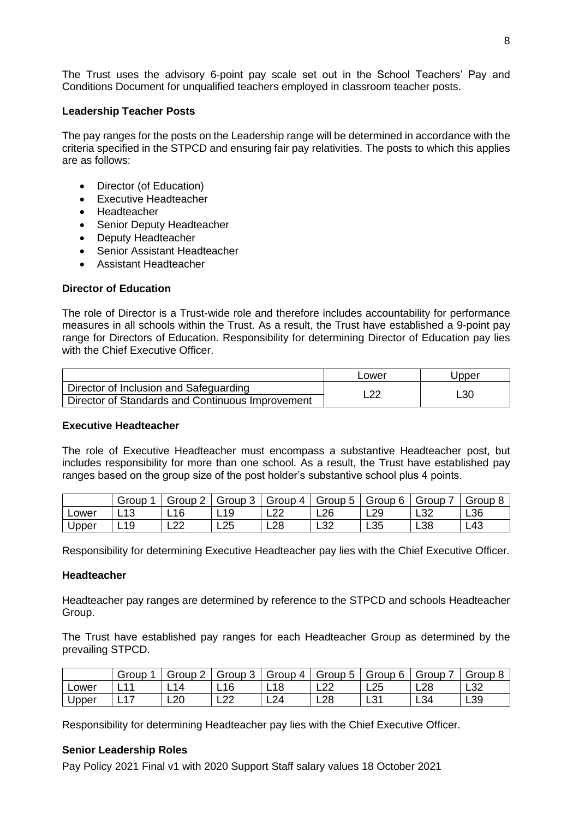The Trust uses the advisory 6-point pay scale set out in the School Teachers' Pay and Conditions Document for unqualified teachers employed in classroom teacher posts.

#### **Leadership Teacher Posts**

The pay ranges for the posts on the Leadership range will be determined in accordance with the criteria specified in the STPCD and ensuring fair pay relativities. The posts to which this applies are as follows:

- Director (of Education)
- Executive Headteacher
- Headteacher
- Senior Deputy Headteacher
- Deputy Headteacher
- Senior Assistant Headteacher
- Assistant Headteacher

# **Director of Education**

The role of Director is a Trust-wide role and therefore includes accountability for performance measures in all schools within the Trust. As a result, the Trust have established a 9-point pay range for Directors of Education. Responsibility for determining Director of Education pay lies with the Chief Executive Officer.

|                                                  | Lower | Jpper |
|--------------------------------------------------|-------|-------|
| Director of Inclusion and Safeguarding           | റ     |       |
| Director of Standards and Continuous Improvement |       | L30   |

# **Executive Headteacher**

The role of Executive Headteacher must encompass a substantive Headteacher post, but includes responsibility for more than one school. As a result, the Trust have established pay ranges based on the group size of the post holder's substantive school plus 4 points.

|       | Group | $\sim$<br>Group | Group 3   | Group 4   | Group 5    | Group 6 | Group     | Group |
|-------|-------|-----------------|-----------|-----------|------------|---------|-----------|-------|
| Lower | 13    | 16<br>ᆸᄓ        | 19<br>-   | ററ<br>ᄂᄼᄼ | L26        | L29     | ാറ<br>∟ບ∠ | L36   |
| Upper | 19    | ററ<br>ᅩᄼ        | つら<br>∟∠J | L28       | ຼາ≏<br>∟ບ∠ | L35     | L38       | L43   |

Responsibility for determining Executive Headteacher pay lies with the Chief Executive Officer.

# **Headteacher**

Headteacher pay ranges are determined by reference to the STPCD and schools Headteacher Group.

The Trust have established pay ranges for each Headteacher Group as determined by the prevailing STPCD.

|       | Group                   | Group 2    | Group 3   | Group 4         | Group 5    | Group 6    | Group           | Group       |
|-------|-------------------------|------------|-----------|-----------------|------------|------------|-----------------|-------------|
| Lower | $\overline{11}$<br>- 11 | 14<br>- 17 | 16<br>-   | L <sub>18</sub> | ົດຕ<br>ᄂᄼᄼ | L25        | L <sub>28</sub> | - 20<br>∟ບ∠ |
| Upper | 47<br>. .               | ററ<br>∟∠∪  | ററ<br>ᄂᄼᄼ | L24             | L28        | بى<br>، ت∟ | L34             | L39         |

Responsibility for determining Headteacher pay lies with the Chief Executive Officer.

# **Senior Leadership Roles**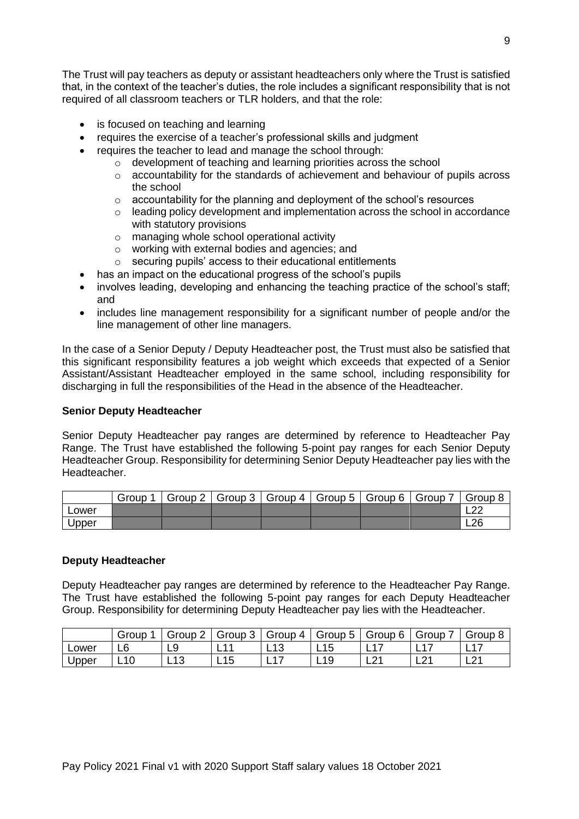The Trust will pay teachers as deputy or assistant headteachers only where the Trust is satisfied that, in the context of the teacher's duties, the role includes a significant responsibility that is not required of all classroom teachers or TLR holders, and that the role:

- is focused on teaching and learning
- requires the exercise of a teacher's professional skills and judgment
	- requires the teacher to lead and manage the school through:
		- o development of teaching and learning priorities across the school
			- $\circ$  accountability for the standards of achievement and behaviour of pupils across the school
			- $\circ$  accountability for the planning and deployment of the school's resources
			- o leading policy development and implementation across the school in accordance with statutory provisions
			- o managing whole school operational activity
			- o working with external bodies and agencies; and
			- o securing pupils' access to their educational entitlements
- has an impact on the educational progress of the school's pupils
- involves leading, developing and enhancing the teaching practice of the school's staff; and
- includes line management responsibility for a significant number of people and/or the line management of other line managers.

In the case of a Senior Deputy / Deputy Headteacher post, the Trust must also be satisfied that this significant responsibility features a job weight which exceeds that expected of a Senior Assistant/Assistant Headteacher employed in the same school, including responsibility for discharging in full the responsibilities of the Head in the absence of the Headteacher.

#### **Senior Deputy Headteacher**

Senior Deputy Headteacher pay ranges are determined by reference to Headteacher Pay Range. The Trust have established the following 5-point pay ranges for each Senior Deputy Headteacher Group. Responsibility for determining Senior Deputy Headteacher pay lies with the Headteacher.

|       | Group | Group 2 | Group 3   Group 4 | $\left $ Group 5 $\right $ Group 6 $\left $ | Group 7 | Group 8 |
|-------|-------|---------|-------------------|---------------------------------------------|---------|---------|
| Lower |       |         |                   |                                             |         | ົດຕ     |
| Upper |       |         |                   |                                             |         | L26     |

#### **Deputy Headteacher**

Deputy Headteacher pay ranges are determined by reference to the Headteacher Pay Range. The Trust have established the following 5-point pay ranges for each Deputy Headteacher Group. Responsibility for determining Deputy Headteacher pay lies with the Headteacher.

|       | Group | Group 2  | Group 3   | Group 4  | Group 5 | Group 6 | Group        | Group   |
|-------|-------|----------|-----------|----------|---------|---------|--------------|---------|
| Lower | L6    | O<br>◡   | -1<br>- 1 | ں ا<br>- | L15     | _       | -            |         |
| Upper | L10   | 12<br>ᆸᄓ | 15<br>-   | -        | L19     | ົ<br>ᄕ  | $\sim$<br>-- | n.<br>ᅩ |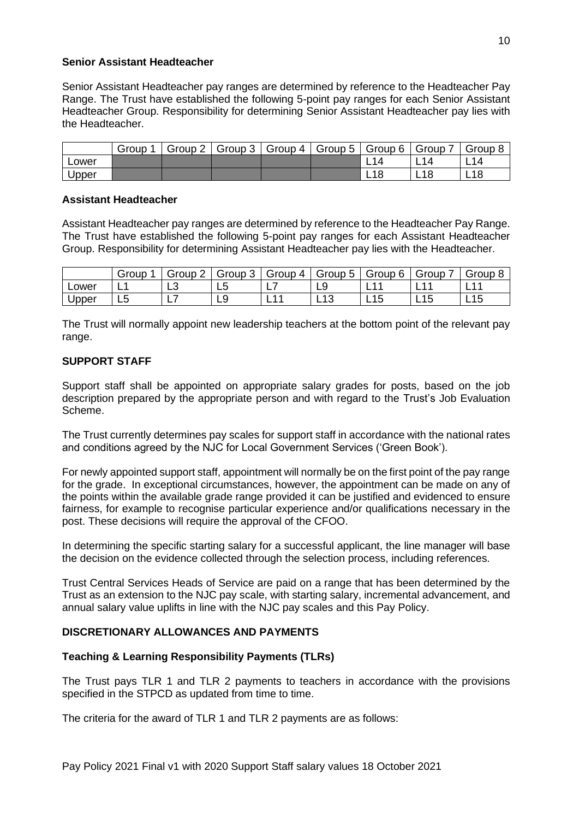#### **Senior Assistant Headteacher**

Senior Assistant Headteacher pay ranges are determined by reference to the Headteacher Pay Range. The Trust have established the following 5-point pay ranges for each Senior Assistant Headteacher Group. Responsibility for determining Senior Assistant Headteacher pay lies with the Headteacher.

|       | Group | Group 2 | Group 3 | Group 4 | Group 5 | Group 6 | Group    | Group 8         |
|-------|-------|---------|---------|---------|---------|---------|----------|-----------------|
| Lower |       |         |         |         |         |         | 4        | 14              |
| Upper |       |         |         |         |         | ┕       | 1 R<br>- | L <sub>18</sub> |

#### **Assistant Headteacher**

Assistant Headteacher pay ranges are determined by reference to the Headteacher Pay Range. The Trust have established the following 5-point pay ranges for each Assistant Headteacher Group. Responsibility for determining Assistant Headteacher pay lies with the Headteacher.

|       | Group  | Group            | Group   | Group 4             | $\overline{\phantom{0}}$<br>Group<br>ა | Group<br>6 | Group    | Group     |
|-------|--------|------------------|---------|---------------------|----------------------------------------|------------|----------|-----------|
| Lower | . .    | $\sqrt{2}$<br>∟ບ | ∽<br>∟∪ | - -                 | ∟ວ                                     | -          | -        | -         |
| Upper | -<br>ື |                  | ◡       | $\overline{A}$<br>- | -4.2<br><u>LIJ</u>                     | 1 F<br>ᆸ   | 15<br>ᄂᆝ | 1 F<br>ᄂᆝ |

The Trust will normally appoint new leadership teachers at the bottom point of the relevant pay range.

# **SUPPORT STAFF**

Support staff shall be appointed on appropriate salary grades for posts, based on the job description prepared by the appropriate person and with regard to the Trust's Job Evaluation Scheme.

The Trust currently determines pay scales for support staff in accordance with the national rates and conditions agreed by the NJC for Local Government Services ('Green Book').

For newly appointed support staff, appointment will normally be on the first point of the pay range for the grade. In exceptional circumstances, however, the appointment can be made on any of the points within the available grade range provided it can be justified and evidenced to ensure fairness, for example to recognise particular experience and/or qualifications necessary in the post. These decisions will require the approval of the CFOO.

In determining the specific starting salary for a successful applicant, the line manager will base the decision on the evidence collected through the selection process, including references.

Trust Central Services Heads of Service are paid on a range that has been determined by the Trust as an extension to the NJC pay scale, with starting salary, incremental advancement, and annual salary value uplifts in line with the NJC pay scales and this Pay Policy.

# **DISCRETIONARY ALLOWANCES AND PAYMENTS**

# **Teaching & Learning Responsibility Payments (TLRs)**

The Trust pays TLR 1 and TLR 2 payments to teachers in accordance with the provisions specified in the STPCD as updated from time to time.

The criteria for the award of TLR 1 and TLR 2 payments are as follows: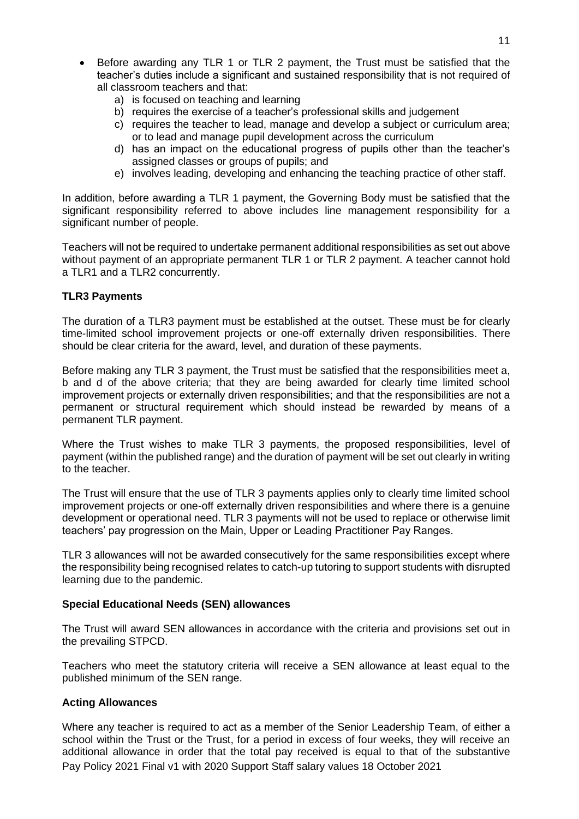- Before awarding any TLR 1 or TLR 2 payment, the Trust must be satisfied that the teacher's duties include a significant and sustained responsibility that is not required of all classroom teachers and that:
	- a) is focused on teaching and learning
	- b) requires the exercise of a teacher's professional skills and judgement
	- c) requires the teacher to lead, manage and develop a subject or curriculum area; or to lead and manage pupil development across the curriculum
	- d) has an impact on the educational progress of pupils other than the teacher's assigned classes or groups of pupils; and
	- e) involves leading, developing and enhancing the teaching practice of other staff.

In addition, before awarding a TLR 1 payment, the Governing Body must be satisfied that the significant responsibility referred to above includes line management responsibility for a significant number of people.

Teachers will not be required to undertake permanent additional responsibilities as set out above without payment of an appropriate permanent TLR 1 or TLR 2 payment. A teacher cannot hold a TLR1 and a TLR2 concurrently.

#### **TLR3 Payments**

The duration of a TLR3 payment must be established at the outset. These must be for clearly time-limited school improvement projects or one-off externally driven responsibilities. There should be clear criteria for the award, level, and duration of these payments.

Before making any TLR 3 payment, the Trust must be satisfied that the responsibilities meet a, b and d of the above criteria; that they are being awarded for clearly time limited school improvement projects or externally driven responsibilities; and that the responsibilities are not a permanent or structural requirement which should instead be rewarded by means of a permanent TLR payment.

Where the Trust wishes to make TLR 3 payments, the proposed responsibilities, level of payment (within the published range) and the duration of payment will be set out clearly in writing to the teacher.

The Trust will ensure that the use of TLR 3 payments applies only to clearly time limited school improvement projects or one-off externally driven responsibilities and where there is a genuine development or operational need. TLR 3 payments will not be used to replace or otherwise limit teachers' pay progression on the Main, Upper or Leading Practitioner Pay Ranges.

TLR 3 allowances will not be awarded consecutively for the same responsibilities except where the responsibility being recognised relates to catch-up tutoring to support students with disrupted learning due to the pandemic.

#### **Special Educational Needs (SEN) allowances**

The Trust will award SEN allowances in accordance with the criteria and provisions set out in the prevailing STPCD.

Teachers who meet the statutory criteria will receive a SEN allowance at least equal to the published minimum of the SEN range.

# **Acting Allowances**

Pay Policy 2021 Final v1 with 2020 Support Staff salary values 18 October 2021 Where any teacher is required to act as a member of the Senior Leadership Team, of either a school within the Trust or the Trust, for a period in excess of four weeks, they will receive an additional allowance in order that the total pay received is equal to that of the substantive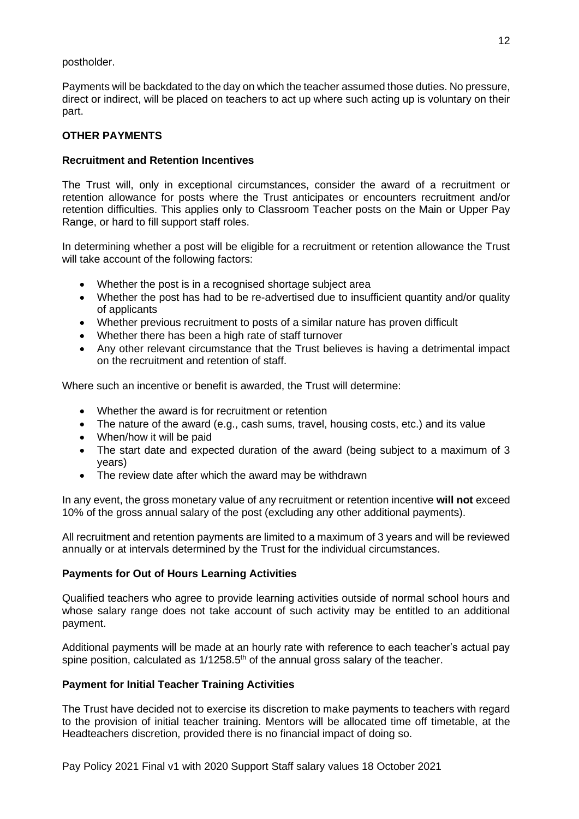postholder.

Payments will be backdated to the day on which the teacher assumed those duties. No pressure, direct or indirect, will be placed on teachers to act up where such acting up is voluntary on their part.

# **OTHER PAYMENTS**

# **Recruitment and Retention Incentives**

The Trust will, only in exceptional circumstances, consider the award of a recruitment or retention allowance for posts where the Trust anticipates or encounters recruitment and/or retention difficulties. This applies only to Classroom Teacher posts on the Main or Upper Pay Range, or hard to fill support staff roles.

In determining whether a post will be eligible for a recruitment or retention allowance the Trust will take account of the following factors:

- Whether the post is in a recognised shortage subject area
- Whether the post has had to be re-advertised due to insufficient quantity and/or quality of applicants
- Whether previous recruitment to posts of a similar nature has proven difficult
- Whether there has been a high rate of staff turnover
- Any other relevant circumstance that the Trust believes is having a detrimental impact on the recruitment and retention of staff.

Where such an incentive or benefit is awarded, the Trust will determine:

- Whether the award is for recruitment or retention
- The nature of the award (e.g., cash sums, travel, housing costs, etc.) and its value
- When/how it will be paid
- The start date and expected duration of the award (being subject to a maximum of 3 years)
- The review date after which the award may be withdrawn

In any event, the gross monetary value of any recruitment or retention incentive **will not** exceed 10% of the gross annual salary of the post (excluding any other additional payments).

All recruitment and retention payments are limited to a maximum of 3 years and will be reviewed annually or at intervals determined by the Trust for the individual circumstances.

# **Payments for Out of Hours Learning Activities**

Qualified teachers who agree to provide learning activities outside of normal school hours and whose salary range does not take account of such activity may be entitled to an additional payment.

Additional payments will be made at an hourly rate with reference to each teacher's actual pay spine position, calculated as  $1/1258.5<sup>th</sup>$  of the annual gross salary of the teacher.

# **Payment for Initial Teacher Training Activities**

The Trust have decided not to exercise its discretion to make payments to teachers with regard to the provision of initial teacher training. Mentors will be allocated time off timetable, at the Headteachers discretion, provided there is no financial impact of doing so.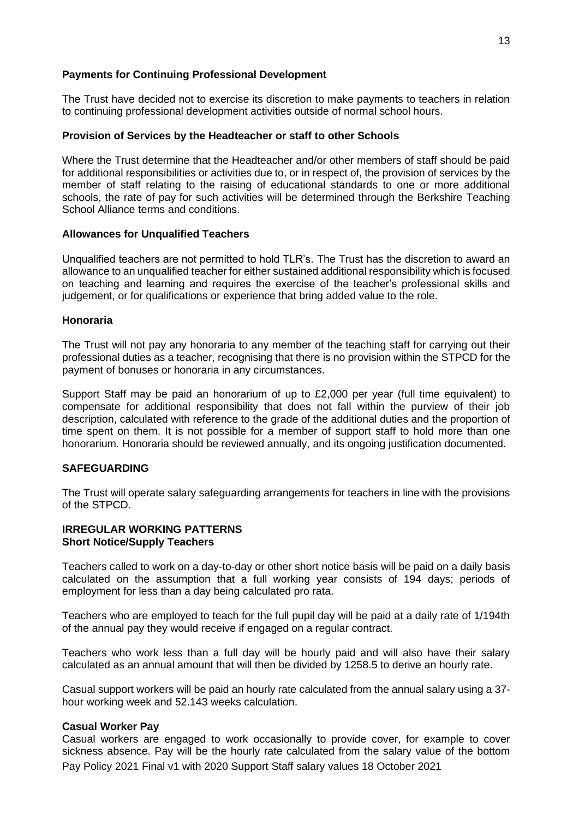#### **Payments for Continuing Professional Development**

The Trust have decided not to exercise its discretion to make payments to teachers in relation to continuing professional development activities outside of normal school hours.

# **Provision of Services by the Headteacher or staff to other Schools**

Where the Trust determine that the Headteacher and/or other members of staff should be paid for additional responsibilities or activities due to, or in respect of, the provision of services by the member of staff relating to the raising of educational standards to one or more additional schools, the rate of pay for such activities will be determined through the Berkshire Teaching School Alliance terms and conditions.

# **Allowances for Unqualified Teachers**

Unqualified teachers are not permitted to hold TLR's. The Trust has the discretion to award an allowance to an unqualified teacher for either sustained additional responsibility which is focused on teaching and learning and requires the exercise of the teacher's professional skills and judgement, or for qualifications or experience that bring added value to the role.

# **Honoraria**

The Trust will not pay any honoraria to any member of the teaching staff for carrying out their professional duties as a teacher, recognising that there is no provision within the STPCD for the payment of bonuses or honoraria in any circumstances.

Support Staff may be paid an honorarium of up to £2,000 per year (full time equivalent) to compensate for additional responsibility that does not fall within the purview of their job description, calculated with reference to the grade of the additional duties and the proportion of time spent on them. It is not possible for a member of support staff to hold more than one honorarium. Honoraria should be reviewed annually, and its ongoing justification documented.

# **SAFEGUARDING**

The Trust will operate salary safeguarding arrangements for teachers in line with the provisions of the STPCD.

#### **IRREGULAR WORKING PATTERNS Short Notice/Supply Teachers**

Teachers called to work on a day-to-day or other short notice basis will be paid on a daily basis calculated on the assumption that a full working year consists of 194 days; periods of employment for less than a day being calculated pro rata.

Teachers who are employed to teach for the full pupil day will be paid at a daily rate of 1/194th of the annual pay they would receive if engaged on a regular contract.

Teachers who work less than a full day will be hourly paid and will also have their salary calculated as an annual amount that will then be divided by 1258.5 to derive an hourly rate.

Casual support workers will be paid an hourly rate calculated from the annual salary using a 37 hour working week and 52.143 weeks calculation.

# **Casual Worker Pay**

Pay Policy 2021 Final v1 with 2020 Support Staff salary values 18 October 2021 Casual workers are engaged to work occasionally to provide cover, for example to cover sickness absence. Pay will be the hourly rate calculated from the salary value of the bottom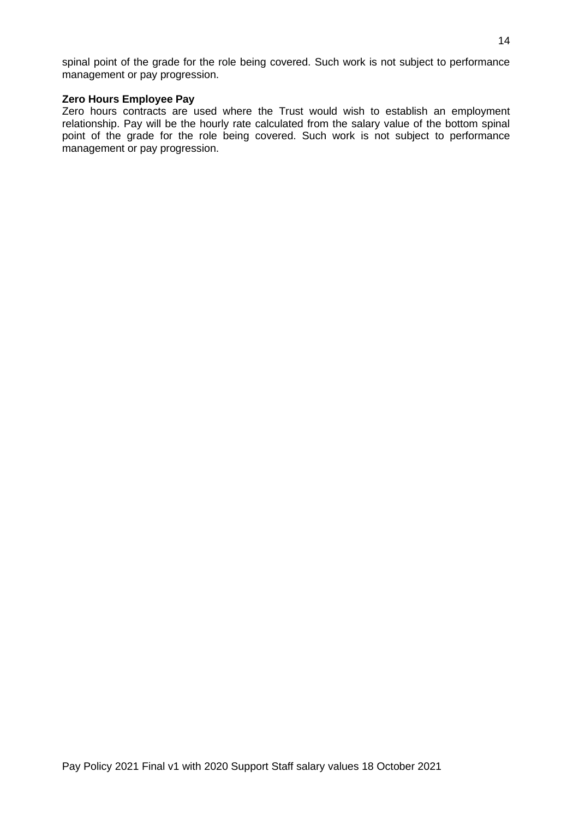spinal point of the grade for the role being covered. Such work is not subject to performance management or pay progression.

#### **Zero Hours Employee Pay**

Zero hours contracts are used where the Trust would wish to establish an employment relationship. Pay will be the hourly rate calculated from the salary value of the bottom spinal point of the grade for the role being covered. Such work is not subject to performance management or pay progression.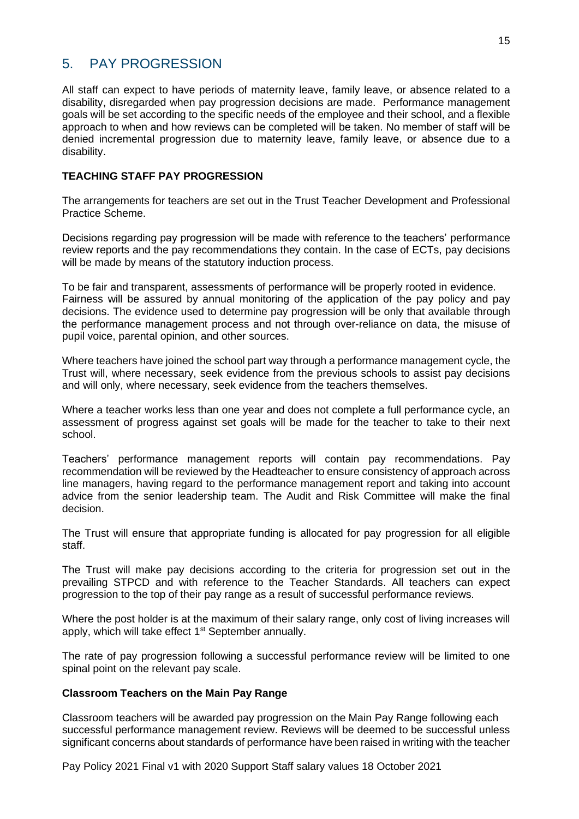# <span id="page-14-0"></span>5. PAY PROGRESSION

All staff can expect to have periods of maternity leave, family leave, or absence related to a disability, disregarded when pay progression decisions are made. Performance management goals will be set according to the specific needs of the employee and their school, and a flexible approach to when and how reviews can be completed will be taken. No member of staff will be denied incremental progression due to maternity leave, family leave, or absence due to a disability.

# **TEACHING STAFF PAY PROGRESSION**

The arrangements for teachers are set out in the Trust Teacher Development and Professional Practice Scheme.

Decisions regarding pay progression will be made with reference to the teachers' performance review reports and the pay recommendations they contain. In the case of ECTs, pay decisions will be made by means of the statutory induction process.

To be fair and transparent, assessments of performance will be properly rooted in evidence. Fairness will be assured by annual monitoring of the application of the pay policy and pay decisions. The evidence used to determine pay progression will be only that available through the performance management process and not through over-reliance on data, the misuse of pupil voice, parental opinion, and other sources.

Where teachers have joined the school part way through a performance management cycle, the Trust will, where necessary, seek evidence from the previous schools to assist pay decisions and will only, where necessary, seek evidence from the teachers themselves.

Where a teacher works less than one year and does not complete a full performance cycle, an assessment of progress against set goals will be made for the teacher to take to their next school.

Teachers' performance management reports will contain pay recommendations. Pay recommendation will be reviewed by the Headteacher to ensure consistency of approach across line managers, having regard to the performance management report and taking into account advice from the senior leadership team. The Audit and Risk Committee will make the final decision.

The Trust will ensure that appropriate funding is allocated for pay progression for all eligible staff.

The Trust will make pay decisions according to the criteria for progression set out in the prevailing STPCD and with reference to the Teacher Standards. All teachers can expect progression to the top of their pay range as a result of successful performance reviews.

Where the post holder is at the maximum of their salary range, only cost of living increases will apply, which will take effect  $1<sup>st</sup>$  September annually.

The rate of pay progression following a successful performance review will be limited to one spinal point on the relevant pay scale.

# **Classroom Teachers on the Main Pay Range**

Classroom teachers will be awarded pay progression on the Main Pay Range following each successful performance management review. Reviews will be deemed to be successful unless significant concerns about standards of performance have been raised in writing with the teacher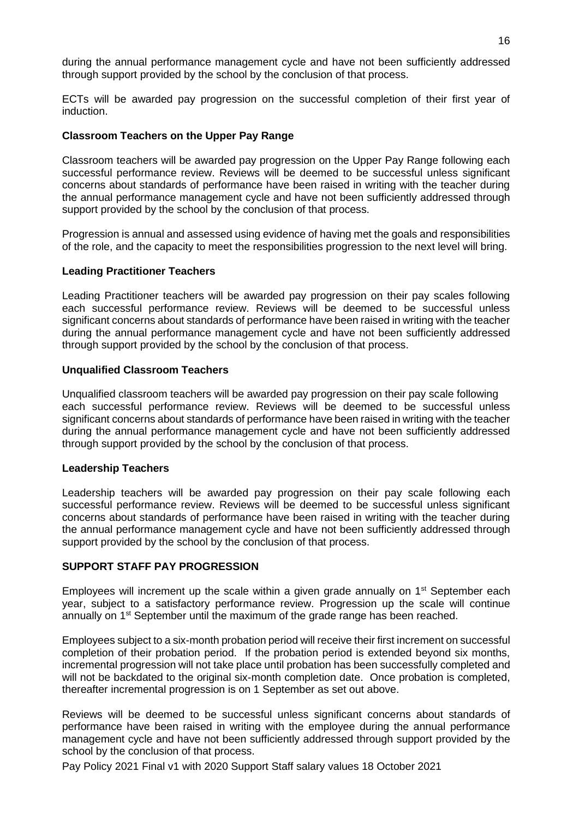during the annual performance management cycle and have not been sufficiently addressed through support provided by the school by the conclusion of that process.

ECTs will be awarded pay progression on the successful completion of their first year of induction.

# **Classroom Teachers on the Upper Pay Range**

Classroom teachers will be awarded pay progression on the Upper Pay Range following each successful performance review. Reviews will be deemed to be successful unless significant concerns about standards of performance have been raised in writing with the teacher during the annual performance management cycle and have not been sufficiently addressed through support provided by the school by the conclusion of that process.

Progression is annual and assessed using evidence of having met the goals and responsibilities of the role, and the capacity to meet the responsibilities progression to the next level will bring.

# **Leading Practitioner Teachers**

Leading Practitioner teachers will be awarded pay progression on their pay scales following each successful performance review. Reviews will be deemed to be successful unless significant concerns about standards of performance have been raised in writing with the teacher during the annual performance management cycle and have not been sufficiently addressed through support provided by the school by the conclusion of that process.

#### **Unqualified Classroom Teachers**

Unqualified classroom teachers will be awarded pay progression on their pay scale following each successful performance review. Reviews will be deemed to be successful unless significant concerns about standards of performance have been raised in writing with the teacher during the annual performance management cycle and have not been sufficiently addressed through support provided by the school by the conclusion of that process.

#### **Leadership Teachers**

Leadership teachers will be awarded pay progression on their pay scale following each successful performance review. Reviews will be deemed to be successful unless significant concerns about standards of performance have been raised in writing with the teacher during the annual performance management cycle and have not been sufficiently addressed through support provided by the school by the conclusion of that process.

# **SUPPORT STAFF PAY PROGRESSION**

Employees will increment up the scale within a given grade annually on  $1<sup>st</sup>$  September each year, subject to a satisfactory performance review. Progression up the scale will continue annually on 1<sup>st</sup> September until the maximum of the grade range has been reached.

Employees subject to a six-month probation period will receive their first increment on successful completion of their probation period. If the probation period is extended beyond six months, incremental progression will not take place until probation has been successfully completed and will not be backdated to the original six-month completion date. Once probation is completed, thereafter incremental progression is on 1 September as set out above.

Reviews will be deemed to be successful unless significant concerns about standards of performance have been raised in writing with the employee during the annual performance management cycle and have not been sufficiently addressed through support provided by the school by the conclusion of that process.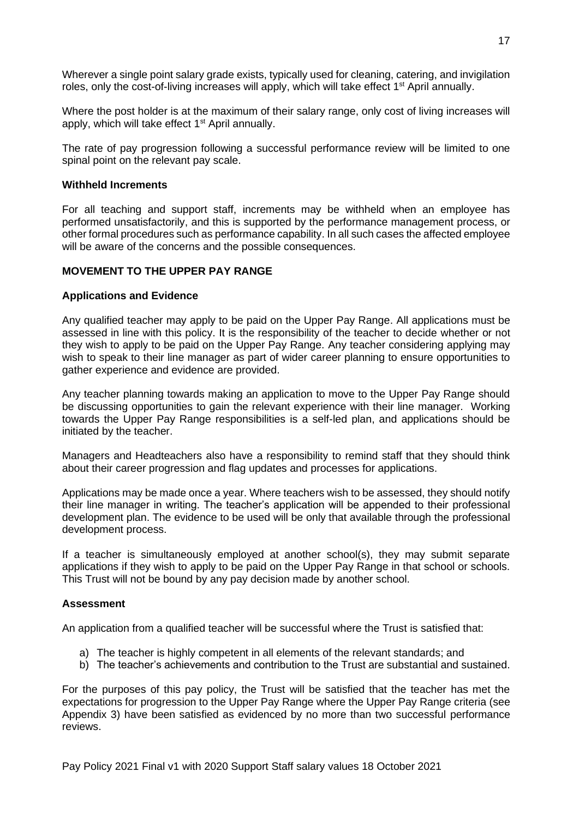Wherever a single point salary grade exists, typically used for cleaning, catering, and invigilation roles, only the cost-of-living increases will apply, which will take effect 1<sup>st</sup> April annually.

Where the post holder is at the maximum of their salary range, only cost of living increases will apply, which will take effect  $1<sup>st</sup>$  April annually.

The rate of pay progression following a successful performance review will be limited to one spinal point on the relevant pay scale.

#### **Withheld Increments**

For all teaching and support staff, increments may be withheld when an employee has performed unsatisfactorily, and this is supported by the performance management process, or other formal procedures such as performance capability. In all such cases the affected employee will be aware of the concerns and the possible consequences.

# **MOVEMENT TO THE UPPER PAY RANGE**

#### **Applications and Evidence**

Any qualified teacher may apply to be paid on the Upper Pay Range. All applications must be assessed in line with this policy. It is the responsibility of the teacher to decide whether or not they wish to apply to be paid on the Upper Pay Range. Any teacher considering applying may wish to speak to their line manager as part of wider career planning to ensure opportunities to gather experience and evidence are provided.

Any teacher planning towards making an application to move to the Upper Pay Range should be discussing opportunities to gain the relevant experience with their line manager. Working towards the Upper Pay Range responsibilities is a self-led plan, and applications should be initiated by the teacher.

Managers and Headteachers also have a responsibility to remind staff that they should think about their career progression and flag updates and processes for applications.

Applications may be made once a year. Where teachers wish to be assessed, they should notify their line manager in writing. The teacher's application will be appended to their professional development plan. The evidence to be used will be only that available through the professional development process.

If a teacher is simultaneously employed at another school(s), they may submit separate applications if they wish to apply to be paid on the Upper Pay Range in that school or schools. This Trust will not be bound by any pay decision made by another school.

#### **Assessment**

An application from a qualified teacher will be successful where the Trust is satisfied that:

- a) The teacher is highly competent in all elements of the relevant standards; and
- b) The teacher's achievements and contribution to the Trust are substantial and sustained.

For the purposes of this pay policy, the Trust will be satisfied that the teacher has met the expectations for progression to the Upper Pay Range where the Upper Pay Range criteria (see Appendix 3) have been satisfied as evidenced by no more than two successful performance reviews.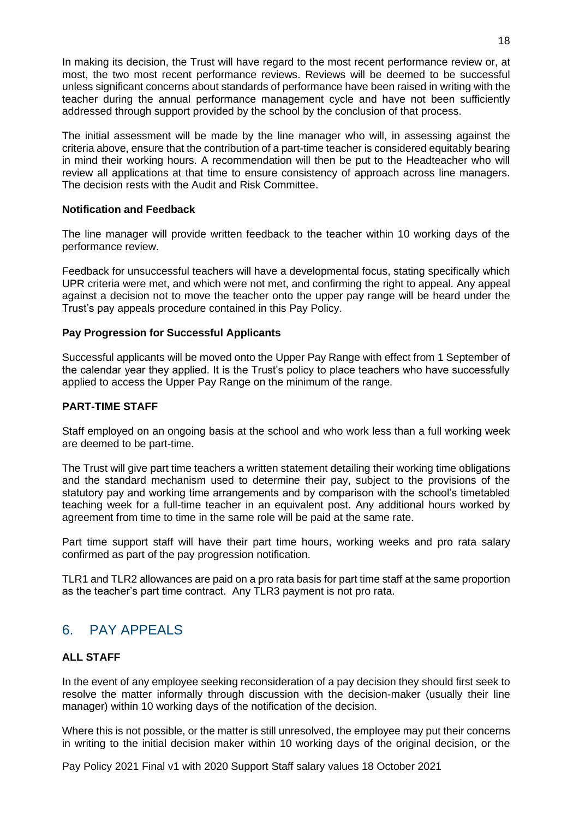In making its decision, the Trust will have regard to the most recent performance review or, at most, the two most recent performance reviews. Reviews will be deemed to be successful unless significant concerns about standards of performance have been raised in writing with the teacher during the annual performance management cycle and have not been sufficiently addressed through support provided by the school by the conclusion of that process.

The initial assessment will be made by the line manager who will, in assessing against the criteria above, ensure that the contribution of a part-time teacher is considered equitably bearing in mind their working hours. A recommendation will then be put to the Headteacher who will review all applications at that time to ensure consistency of approach across line managers. The decision rests with the Audit and Risk Committee.

# **Notification and Feedback**

The line manager will provide written feedback to the teacher within 10 working days of the performance review.

Feedback for unsuccessful teachers will have a developmental focus, stating specifically which UPR criteria were met, and which were not met, and confirming the right to appeal. Any appeal against a decision not to move the teacher onto the upper pay range will be heard under the Trust's pay appeals procedure contained in this Pay Policy.

#### **Pay Progression for Successful Applicants**

Successful applicants will be moved onto the Upper Pay Range with effect from 1 September of the calendar year they applied. It is the Trust's policy to place teachers who have successfully applied to access the Upper Pay Range on the minimum of the range.

#### **PART-TIME STAFF**

Staff employed on an ongoing basis at the school and who work less than a full working week are deemed to be part-time.

The Trust will give part time teachers a written statement detailing their working time obligations and the standard mechanism used to determine their pay, subject to the provisions of the statutory pay and working time arrangements and by comparison with the school's timetabled teaching week for a full-time teacher in an equivalent post. Any additional hours worked by agreement from time to time in the same role will be paid at the same rate.

Part time support staff will have their part time hours, working weeks and pro rata salary confirmed as part of the pay progression notification.

TLR1 and TLR2 allowances are paid on a pro rata basis for part time staff at the same proportion as the teacher's part time contract. Any TLR3 payment is not pro rata.

# <span id="page-17-0"></span>6. PAY APPEALS

# **ALL STAFF**

In the event of any employee seeking reconsideration of a pay decision they should first seek to resolve the matter informally through discussion with the decision-maker (usually their line manager) within 10 working days of the notification of the decision.

Where this is not possible, or the matter is still unresolved, the employee may put their concerns in writing to the initial decision maker within 10 working days of the original decision, or the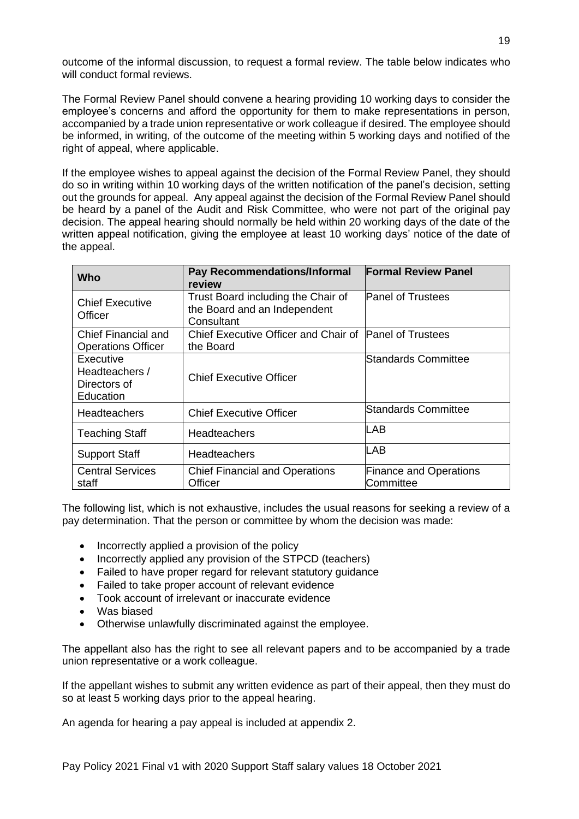outcome of the informal discussion, to request a formal review. The table below indicates who will conduct formal reviews.

The Formal Review Panel should convene a hearing providing 10 working days to consider the employee's concerns and afford the opportunity for them to make representations in person, accompanied by a trade union representative or work colleague if desired. The employee should be informed, in writing, of the outcome of the meeting within 5 working days and notified of the right of appeal, where applicable.

If the employee wishes to appeal against the decision of the Formal Review Panel, they should do so in writing within 10 working days of the written notification of the panel's decision, setting out the grounds for appeal. Any appeal against the decision of the Formal Review Panel should be heard by a panel of the Audit and Risk Committee, who were not part of the original pay decision. The appeal hearing should normally be held within 20 working days of the date of the written appeal notification, giving the employee at least 10 working days' notice of the date of the appeal.

| Who                                                      | Pay Recommendations/Informal<br>review                                           | <b>Formal Review Panel</b>                 |
|----------------------------------------------------------|----------------------------------------------------------------------------------|--------------------------------------------|
| <b>Chief Executive</b><br>Officer                        | Trust Board including the Chair of<br>the Board and an Independent<br>Consultant | <b>Panel of Trustees</b>                   |
| Chief Financial and<br><b>Operations Officer</b>         | Chief Executive Officer and Chair of Panel of Trustees<br>the Board              |                                            |
| Executive<br>Headteachers /<br>Directors of<br>Education | <b>Chief Executive Officer</b>                                                   | Standards Committee                        |
| <b>Headteachers</b>                                      | <b>Chief Executive Officer</b>                                                   | <b>Standards Committee</b>                 |
| <b>Teaching Staff</b>                                    | <b>Headteachers</b>                                                              | ILAB                                       |
| <b>Support Staff</b>                                     | <b>Headteachers</b>                                                              | ILAB                                       |
| <b>Central Services</b><br>staff                         | <b>Chief Financial and Operations</b><br>Officer                                 | <b>Finance and Operations</b><br>Committee |

The following list, which is not exhaustive, includes the usual reasons for seeking a review of a pay determination. That the person or committee by whom the decision was made:

- Incorrectly applied a provision of the policy
- Incorrectly applied any provision of the STPCD (teachers)
- Failed to have proper regard for relevant statutory guidance
- Failed to take proper account of relevant evidence
- Took account of irrelevant or inaccurate evidence
- Was biased
- Otherwise unlawfully discriminated against the employee.

The appellant also has the right to see all relevant papers and to be accompanied by a trade union representative or a work colleague.

If the appellant wishes to submit any written evidence as part of their appeal, then they must do so at least 5 working days prior to the appeal hearing.

An agenda for hearing a pay appeal is included at appendix 2.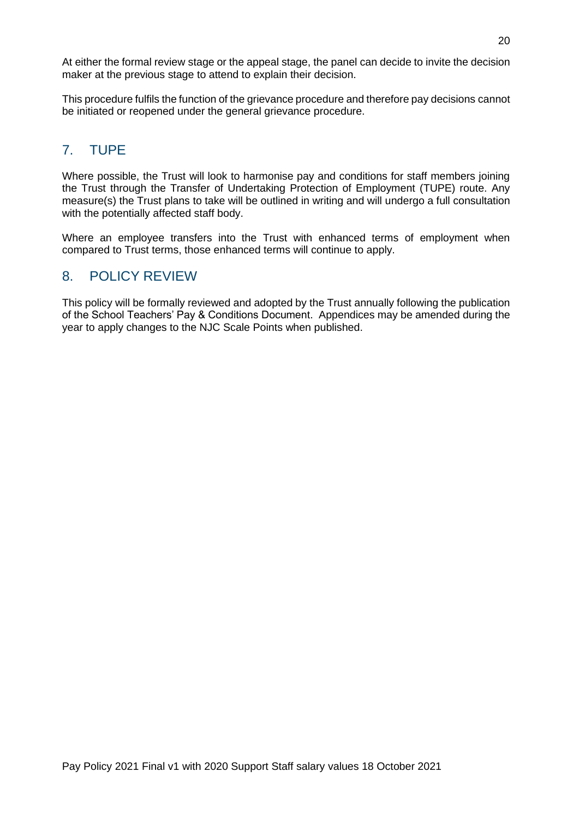At either the formal review stage or the appeal stage, the panel can decide to invite the decision maker at the previous stage to attend to explain their decision.

This procedure fulfils the function of the grievance procedure and therefore pay decisions cannot be initiated or reopened under the general grievance procedure.

# <span id="page-19-0"></span>7. TUPE

Where possible, the Trust will look to harmonise pay and conditions for staff members joining the Trust through the Transfer of Undertaking Protection of Employment (TUPE) route. Any measure(s) the Trust plans to take will be outlined in writing and will undergo a full consultation with the potentially affected staff body.

Where an employee transfers into the Trust with enhanced terms of employment when compared to Trust terms, those enhanced terms will continue to apply.

# <span id="page-19-1"></span>8. POLICY REVIEW

This policy will be formally reviewed and adopted by the Trust annually following the publication of the School Teachers' Pay & Conditions Document. Appendices may be amended during the year to apply changes to the NJC Scale Points when published.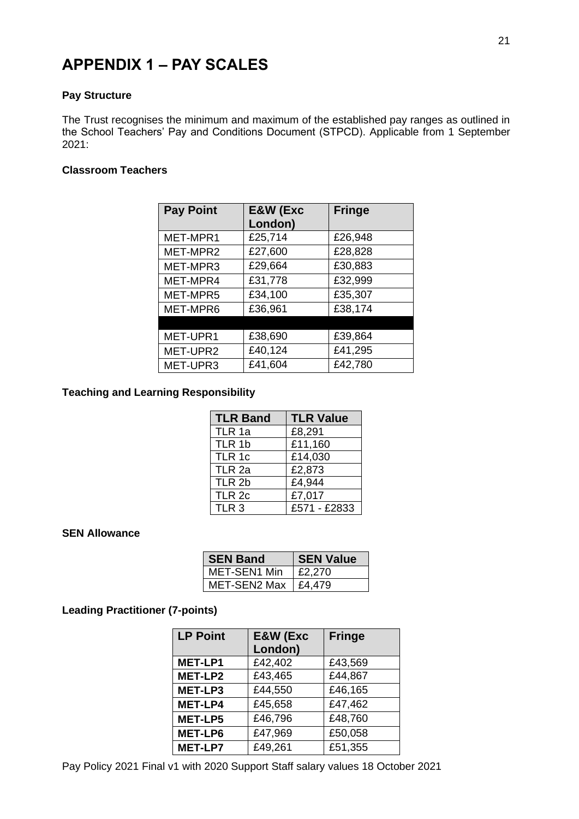# <span id="page-20-0"></span>**APPENDIX 1 – PAY SCALES**

#### **Pay Structure**

The Trust recognises the minimum and maximum of the established pay ranges as outlined in the School Teachers' Pay and Conditions Document (STPCD). Applicable from 1 September 2021:

# **Classroom Teachers**

| <b>Pay Point</b> | E&W (Exc | <b>Fringe</b> |
|------------------|----------|---------------|
|                  | London)  |               |
| MET-MPR1         | £25,714  | £26,948       |
| MET-MPR2         | £27,600  | £28,828       |
| MET-MPR3         | £29,664  | £30,883       |
| MET-MPR4         | £31,778  | £32,999       |
| MET-MPR5         | £34,100  | £35,307       |
| MET-MPR6         | £36,961  | £38,174       |
|                  |          |               |
| MET-UPR1         | £38,690  | £39,864       |
| MET-UPR2         | £40,124  | £41,295       |
| MET-UPR3         | £41,604  | £42,780       |

# **Teaching and Learning Responsibility**

| <b>TLR Band</b>   | <b>TLR Value</b>           |
|-------------------|----------------------------|
| TLR 1a            | £8,291                     |
| TLR 1b            | £11,160                    |
| TLR 1c            | £14,030                    |
| TLR <sub>2a</sub> | £2,873                     |
| TLR 2b            | $\overline{\text{£}}4,944$ |
| TLR <sub>2c</sub> | £7,017                     |
| TLR <sub>3</sub>  | £571 - £2833               |

#### **SEN Allowance**

| <b>SEN Band</b>     | <b>SEN Value</b> |  |
|---------------------|------------------|--|
| MET-SEN1 Min        | £2,270           |  |
| <b>MET-SEN2 Max</b> | £4.479           |  |

# **Leading Practitioner (7-points)**

| <b>LP Point</b> | <b>E&amp;W</b> (Exc | <b>Fringe</b> |  |
|-----------------|---------------------|---------------|--|
|                 | London)             |               |  |
| <b>MET-LP1</b>  | £42,402             | £43,569       |  |
| MET-LP2         | £43,465             | £44,867       |  |
| MET-LP3         | £44,550             | £46,165       |  |
| <b>MET-LP4</b>  | £45,658             | £47,462       |  |
| <b>MET-LP5</b>  | £46,796             | £48,760       |  |
| <b>MET-LP6</b>  | £47,969             | £50,058       |  |
| <b>MET-LP7</b>  | £49,261             | £51,355       |  |

Pay Policy 2021 Final v1 with 2020 Support Staff salary values 18 October 2021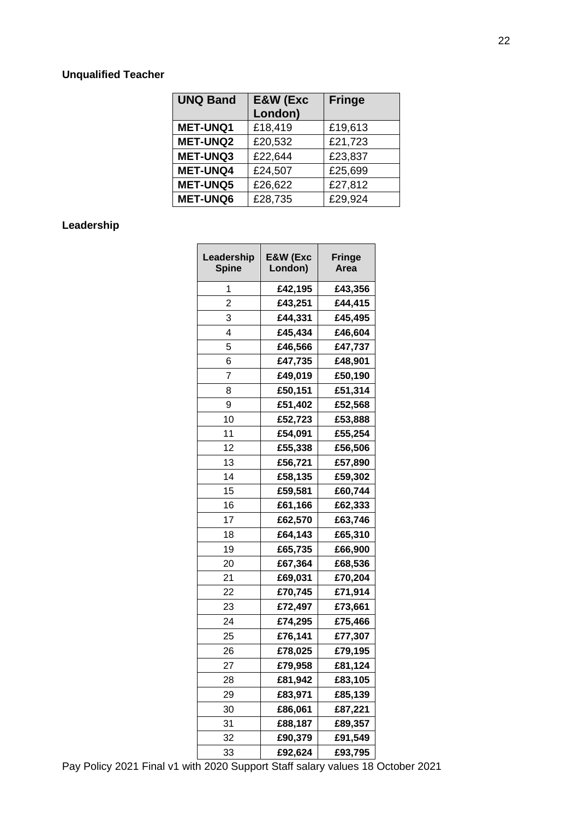# **Unqualified Teacher**

| <b>UNQ Band</b> | E&W (Exc<br>London) | <b>Fringe</b> |
|-----------------|---------------------|---------------|
| <b>MET-UNQ1</b> | £18,419             | £19,613       |
| <b>MET-UNQ2</b> | £20,532             | £21,723       |
| <b>MET-UNQ3</b> | £22,644             | £23,837       |
| <b>MET-UNQ4</b> | £24,507             | £25,699       |
| <b>MET-UNQ5</b> | £26,622             | £27,812       |
| <b>MET-UNQ6</b> | £28,735             | £29,924       |

# **Leadership**

| Leadership<br><b>Spine</b> | E&W (Exc<br>London) | <b>Fringe</b><br>Area |  |
|----------------------------|---------------------|-----------------------|--|
| 1                          | £42,195             | £43,356               |  |
| $\overline{2}$             | £43,251             | £44,415               |  |
|                            |                     |                       |  |
| 3                          | £44,331             | £45,495               |  |
| 4                          | £45,434             | £46,604               |  |
| 5                          | £46,566             | £47,737               |  |
| 6                          | £47,735             | £48,901               |  |
| 7                          | £49,019             | £50,190               |  |
| 8                          | £50,151             | £51,314               |  |
| 9                          | £51,402             | £52,568               |  |
| 10                         | £52,723             | £53,888               |  |
| 11                         | £54,091             | £55,254               |  |
| 12                         | £55,338             | £56,506               |  |
| 13                         | £56,721             | £57,890               |  |
| 14                         | £58,135             | £59,302               |  |
| 15                         | £59,581             | £60,744               |  |
| 16                         | £61,166             | £62,333               |  |
| 17                         | £62,570             | £63,746               |  |
| 18                         | £64,143             | £65,310               |  |
| 19                         | £65,735             | £66,900               |  |
| 20                         | £67,364             | £68,536               |  |
| 21                         | £69,031             | £70,204               |  |
| 22                         | £70,745             | £71,914               |  |
| 23                         | £72,497             | £73,661               |  |
| 24                         | £74,295             | £75,466               |  |
| 25                         | £76,141             | £77,307               |  |
| 26                         | £78,025             | £79,195               |  |
| 27                         | £79,958             | £81,124               |  |
| 28                         | £81,942             | £83,105               |  |
| 29                         | £83,971             | £85,139               |  |
| 30                         | £86,061             | £87,221               |  |
| 31                         | £88,187             | £89,357               |  |
| 32                         | £90,379             | £91,549               |  |
| 33                         | £92,624             | £93,795               |  |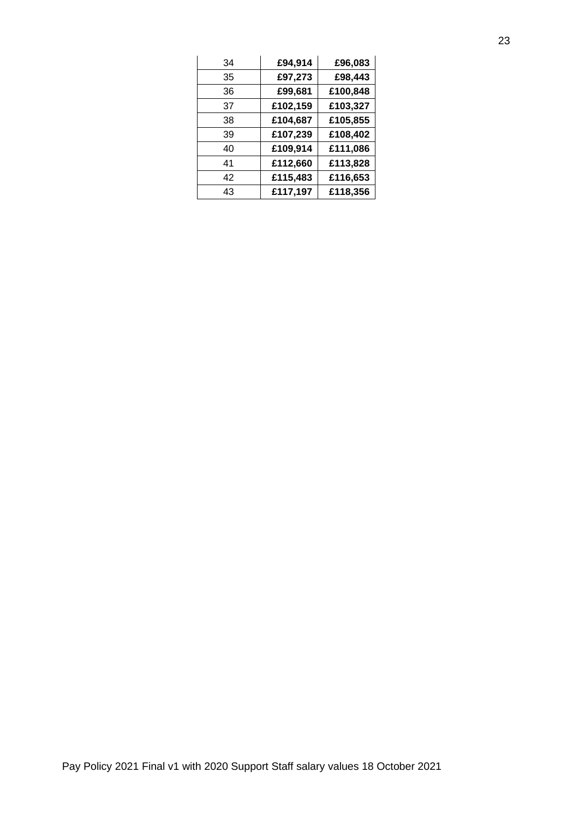| 34 | £94,914  | £96,083  |
|----|----------|----------|
| 35 | £97,273  | £98,443  |
| 36 | £99,681  | £100,848 |
| 37 | £102,159 | £103,327 |
| 38 | £104,687 | £105,855 |
| 39 | £107,239 | £108,402 |
| 40 | £109,914 | £111,086 |
| 41 | £112,660 | £113,828 |
| 42 | £115,483 | £116,653 |
| 43 | £117,197 | £118,356 |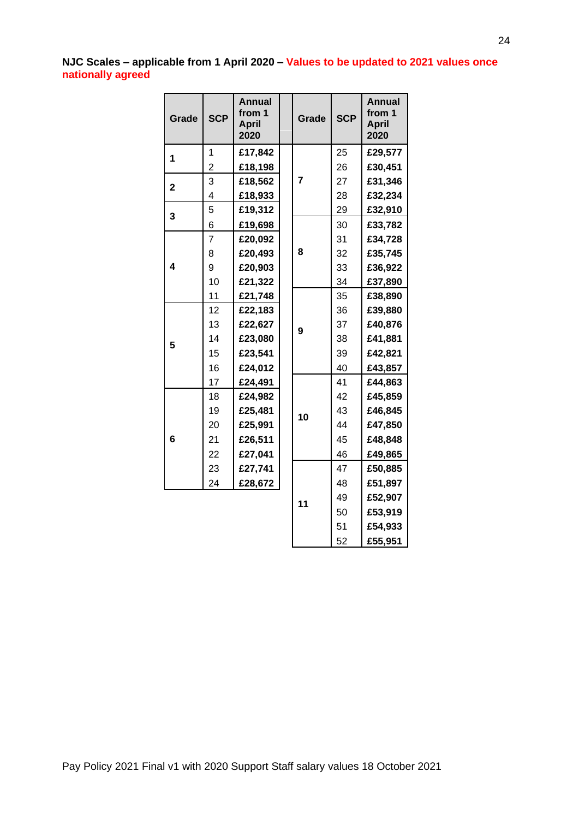# **NJC Scales – applicable from 1 April 2020 – Values to be updated to 2021 values once nationally agreed**

| Grade       | <b>SCP</b>     | <b>Annual</b><br>from 1<br><b>April</b><br>2020 |         | Grade | <b>SCP</b> | <b>Annual</b><br>from 1<br><b>April</b><br>2020 |
|-------------|----------------|-------------------------------------------------|---------|-------|------------|-------------------------------------------------|
| 1           | 1              | £17,842                                         |         | 25    | £29,577    |                                                 |
|             | $\overline{2}$ | £18,198                                         |         |       | 26         | £30,451                                         |
| $\mathbf 2$ | 3              | £18,562                                         |         | 7     | 27         | £31,346                                         |
|             | 4              | £18,933                                         |         |       | 28         | £32,234                                         |
| 3           | 5              | £19,312                                         |         |       | 29         | £32,910                                         |
|             | 6              | £19,698                                         |         |       | 30         | £33,782                                         |
|             | 7              | £20,092                                         |         |       | 31         | £34,728                                         |
|             | 8              | £20,493                                         | 8       | 32    | £35,745    |                                                 |
| 4           | 9              | £20,903                                         |         | 33    | £36,922    |                                                 |
|             | 10             | £21,322                                         |         | 34    | £37,890    |                                                 |
|             | 11             | £21,748                                         |         |       | 35         | £38,890                                         |
|             | 12             | £22,183                                         | 9<br>10 | 36    | £39,880    |                                                 |
|             | 13             | £22,627                                         |         | 37    | £40,876    |                                                 |
| 5           | 14             | £23,080                                         |         | 38    | £41,881    |                                                 |
|             | 15             | £23,541                                         |         | 39    | £42,821    |                                                 |
|             | 16             | £24,012                                         |         | 40    | £43,857    |                                                 |
|             | 17             | £24,491                                         |         | 41    | £44,863    |                                                 |
|             | 18             | £24,982                                         |         | 42    | £45,859    |                                                 |
|             | 19             | £25,481                                         |         | 43    | £46,845    |                                                 |
|             | 20             | £25,991                                         |         | 44    | £47,850    |                                                 |
| 6           | 21             | £26,511                                         |         | 45    | £48,848    |                                                 |
|             | 22             | £27,041                                         |         |       | 46         | £49,865                                         |
|             | 23             | £27,741                                         |         |       | 47         | £50,885                                         |
|             | 24             | £28,672                                         |         |       | 48         | £51,897                                         |
|             |                |                                                 |         |       | 49         | £52,907                                         |
|             |                |                                                 |         | 11    | 50         | £53,919                                         |

 **£54,933 £55,951**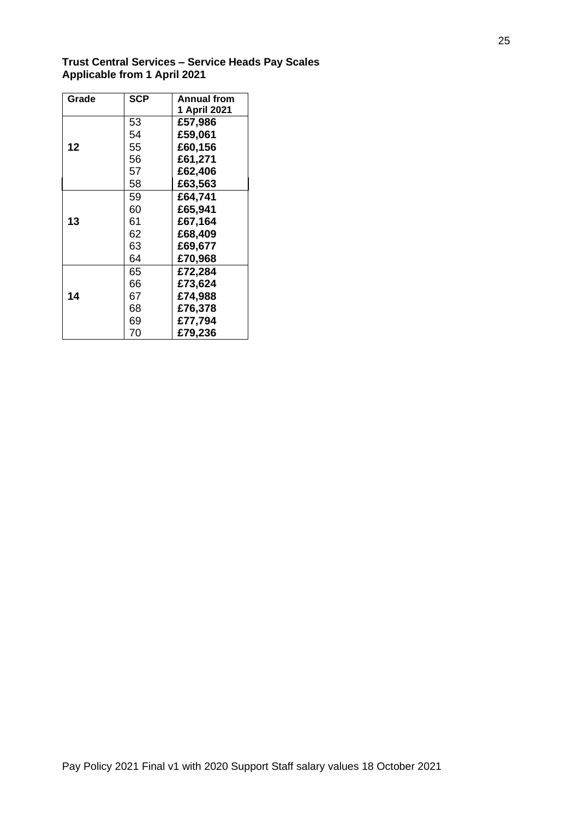**Trust Central Services – Service Heads Pay Scales Applicable from 1 April 2021** 

| Grade | <b>SCP</b> | <b>Annual from</b> |
|-------|------------|--------------------|
|       |            | 1 April 2021       |
|       | 53         | £57,986            |
|       | 54         | £59,061            |
| 12    | 55         | £60,156            |
|       | 56         | £61,271            |
|       | 57         | £62,406            |
|       | 58         | £63,563            |
|       | 59         | £64,741            |
|       | 60         | £65,941            |
| 13    | 61         | £67,164            |
|       | 62         | £68,409            |
|       | 63         | £69,677            |
|       | 64         | £70,968            |
|       | 65         | £72,284            |
|       | 66         | £73,624            |
| 14    | 67         | £74,988            |
|       | 68         | £76,378            |
|       | 69         | £77,794            |
|       | 70         | £79,236            |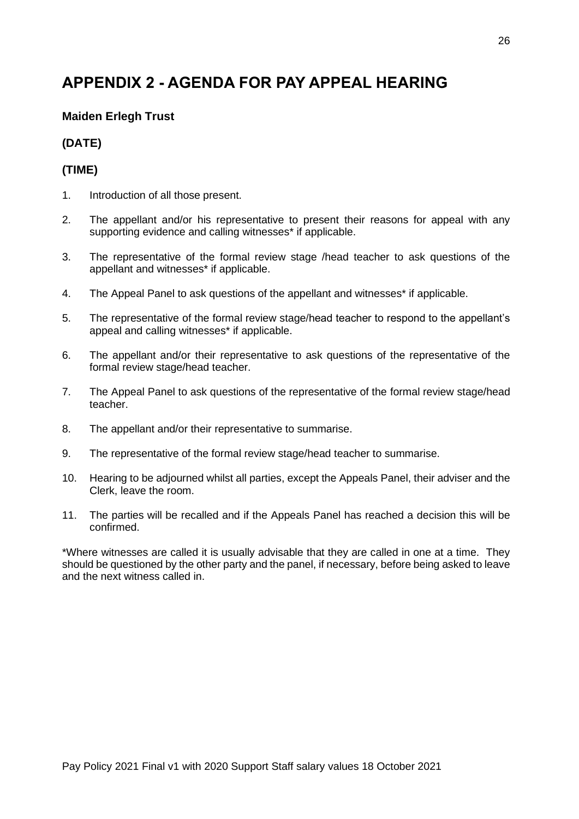# <span id="page-25-0"></span>**APPENDIX 2 - AGENDA FOR PAY APPEAL HEARING**

# **Maiden Erlegh Trust**

# **(DATE)**

# **(TIME)**

- 1. Introduction of all those present.
- 2. The appellant and/or his representative to present their reasons for appeal with any supporting evidence and calling witnesses\* if applicable.
- 3. The representative of the formal review stage /head teacher to ask questions of the appellant and witnesses\* if applicable.
- 4. The Appeal Panel to ask questions of the appellant and witnesses<sup>\*</sup> if applicable.
- 5. The representative of the formal review stage/head teacher to respond to the appellant's appeal and calling witnesses\* if applicable.
- 6. The appellant and/or their representative to ask questions of the representative of the formal review stage/head teacher.
- 7. The Appeal Panel to ask questions of the representative of the formal review stage/head teacher.
- 8. The appellant and/or their representative to summarise.
- 9. The representative of the formal review stage/head teacher to summarise.
- 10. Hearing to be adjourned whilst all parties, except the Appeals Panel, their adviser and the Clerk, leave the room.
- 11. The parties will be recalled and if the Appeals Panel has reached a decision this will be confirmed.

\*Where witnesses are called it is usually advisable that they are called in one at a time. They should be questioned by the other party and the panel, if necessary, before being asked to leave and the next witness called in.